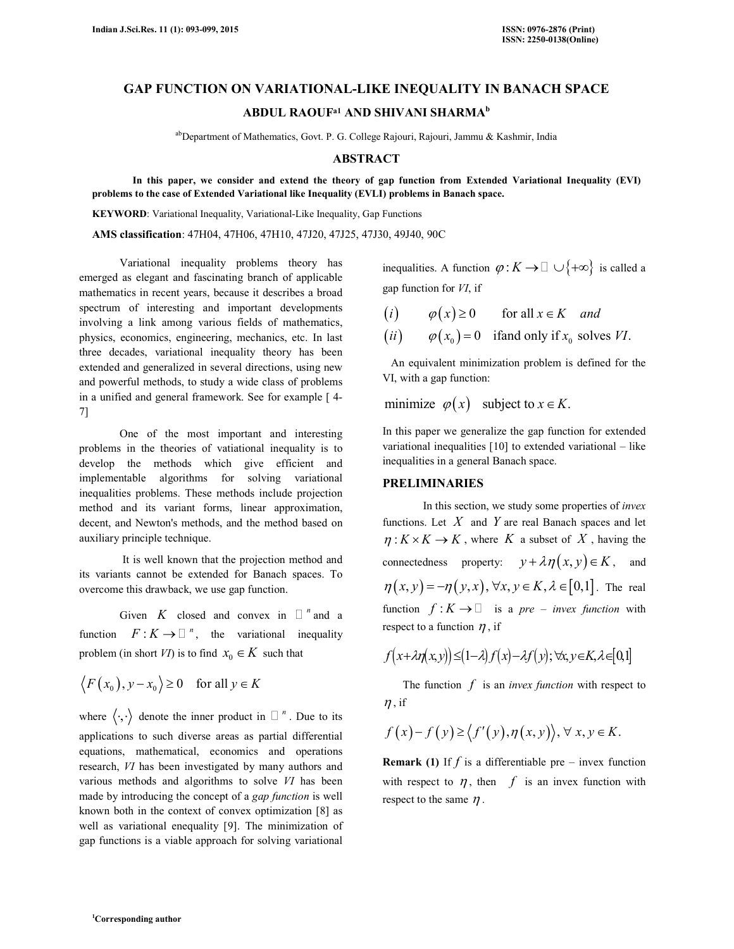# **GAP FUNCTION ON VARIATIONAL-LIKE INEQUALITY IN BANACH SPACE**

**ABDUL RAOUFa1 AND SHIVANI SHARMA<sup>b</sup>**

ab Department of Mathematics, Govt. P. G. College Rajouri, Rajouri, Jammu & Kashmir, India

## **ABSTRACT**

 **In this paper, we consider and extend the theory of gap function from Extended Variational Inequality (EVI) problems to the case of Extended Variational like Inequality (EVLI) problems in Banach space.** 

**KEYWORD**: Variational Inequality, Variational-Like Inequality, Gap Functions

**AMS classification**: 47H04, 47H06, 47H10, 47J20, 47J25, 47J30, 49J40, 90C

 Variational inequality problems theory has emerged as elegant and fascinating branch of applicable mathematics in recent years, because it describes a broad spectrum of interesting and important developments involving a link among various fields of mathematics, physics, economics, engineering, mechanics, etc. In last three decades, variational inequality theory has been extended and generalized in several directions, using new and powerful methods, to study a wide class of problems in a unified and general framework. See for example [ 4- 7]

 One of the most important and interesting problems in the theories of vatiational inequality is to develop the methods which give efficient and implementable algorithms for solving variational inequalities problems. These methods include projection method and its variant forms, linear approximation, decent, and Newton's methods, and the method based on auxiliary principle technique.

 It is well known that the projection method and its variants cannot be extended for Banach spaces. To overcome this drawback, we use gap function.

Given *K* closed and convex in  $n$  and a function  $F: K \to \infty$ , the variational inequality problem (in short *VI*) is to find  $x_0 \in K$  such that

$$
\langle F(x_0), y - x_0 \rangle \ge 0
$$
 for all  $y \in K$ 

where  $\langle \cdot, \cdot \rangle$  denote the inner product in  $\gamma$ <sup>n</sup>. Due to its applications to such diverse areas as partial differential equations, mathematical, economics and operations research, *VI* has been investigated by many authors and various methods and algorithms to solve *VI* has been made by introducing the concept of a *gap function* is well known both in the context of convex optimization [8] as well as variational enequality [9]. The minimization of gap functions is a viable approach for solving variational

inequalities. A function  $\varphi: K \to \cup \{+\infty\}$  is called a gap function for *VI*, if

- $(i)$ i)  $\varphi(x) \ge 0$  for all  $x \in K$  *and*
- $(ii)$   $\varphi(x_0) = 0$  if and only if  $x_0$  solves VI.

 An equivalent minimization problem is defined for the VI, with a gap function:

minimize  $\varphi(x)$  subject to  $x \in K$ .

In this paper we generalize the gap function for extended variational inequalities [10] to extended variational – like inequalities in a general Banach space.

#### **PRELIMINARIES**

 In this section, we study some properties of *invex* functions. Let *X* and *Y* are real Banach spaces and let  $\eta: K \times K \to K$ , where *K* a subset of *X*, having the connectedness property:  $y + \lambda \eta(x, y) \in K$ , and  $\eta(x, y) = -\eta(y, x), \forall x, y \in K, \lambda \in [0,1]$ . The real function  $f: K \rightarrow \mathbb{R}$  is a *pre – invex function* with respect to a function  $\eta$ , if

$$
f(x+\lambda\eta(x,y)) \leq (1-\lambda)f(x) - \lambda f(y); \forall x, y \in K, \lambda \in [0,1]
$$

The function *f* is an *invex function* with respect to  $\eta$ , if

$$
f(x)-f(y) \ge \langle f'(y), \eta(x, y) \rangle, \forall x, y \in K.
$$

**Remark (1)** If  $f$  is a differentiable pre – invex function with respect to  $\eta$ , then  $f$  is an invex function with respect to the same  $\eta$ .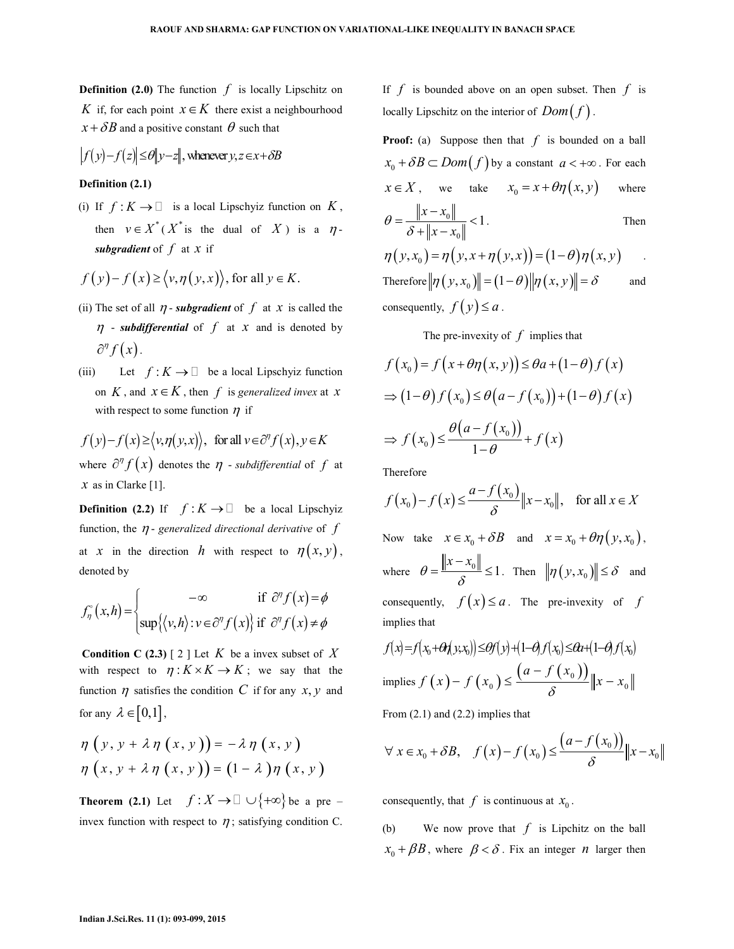**Definition (2.0)** The function *f* is locally Lipschitz on *K* if, for each point  $x \in K$  there exist a neighbourhood  $x + \delta B$  and a positive constant  $\theta$  such that

$$
|f(y)-f(z)| \le \theta \|y-z\|, \text{ whenever } y, z \in x + \delta B
$$

#### **Definition (2.1)**

(i) If  $f: K \to \mathbb{R}$  is a local Lipschyiz function on  $K$ , then  $v \in X^*$  ( $X^*$  is the dual of  $X$ ) is a  $\eta$ *subgradient* of *f* at *x* if

$$
f(y)-f(x) \ge \langle v, \eta(y, x) \rangle
$$
, for all  $y \in K$ .

- (ii) The set of all  $\eta$ -subgradient of  $f$  at  $x$  is called the  $\eta$  - *subdifferential* of  $f$  at  $x$  and is denoted by  $\partial^n f(x)$ .
- (iii) Let  $f: K \to$  be a local Lipschyiz function on *K*, and  $x \in K$ , then *f* is *generalized invex* at *x* with respect to some function  $\eta$  if

 $f(y) - f(x) \ge \langle v, \eta(y,x) \rangle$ , for all  $v \in \partial^{\eta} f(x), y \in K$ where  $\partial^{\eta} f(x)$  denotes the  $\eta$  - *subdifferential* of  $f$  at  $x$  as in Clarke [1].

**Definition (2.2)** If  $f: K \rightarrow$  be a local Lipschyiz function, the  $\eta$ - *generalized directional derivative* of  $f$ at *x* in the direction *h* with respect to  $\eta(x, y)$ , denoted by

$$
f_{\eta}^{\circ}(x,h) = \begin{cases} -\infty & \text{if } \partial^{\eta} f(x) = \phi \\ \sup \{ \langle v, h \rangle : v \in \partial^{\eta} f(x) \} & \text{if } \partial^{\eta} f(x) \neq \phi \end{cases}
$$

**Condition C (2.3)** [ 2 ] Let  $K$  be a invex subset of  $X$ with respect to  $\eta: K \times K \to K$ ; we say that the function  $\eta$  satisfies the condition C if for any  $x, y$  and for any  $\lambda \in [0,1]$ ,

$$
\eta \left( y, y + \lambda \eta \left( x, y \right) \right) = -\lambda \eta \left( x, y \right) \eta \left( x, y + \lambda \eta \left( x, y \right) \right) = \left( 1 - \lambda \right) \eta \left( x, y \right)
$$

**Theorem (2.1)** Let  $f: X \to \cup \{+\infty\}$  be a pre – invex function with respect to  $\eta$ ; satisfying condition C.

If *f* is bounded above on an open subset. Then *f* is locally Lipschitz on the interior of  $Dom(f)$ .

**Proof:** (a) Suppose then that *f* is bounded on a ball  $x_0 + \delta B \subset Dom(f)$  by a constant  $a < +\infty$ . For each  $x \in X$ , we take  $x_0 = x + \theta \eta(x, y)$  where  $\boldsymbol{0}$  $\boldsymbol{0}$ 1  $x - x_0$  $\theta = \frac{\theta}{\delta + \|x - x_0\|}$ δ −  $=\frac{\|v - v_0\|}{\|v - v_0\|}$  $+$   $\|x -$ . Then  $\eta(y, x_0) = \eta(y, x + \eta(y, x)) = (1 - \theta)\eta(x, y)$ 

Therefore  $||\eta(y, x_0)|| = (1 - \theta) ||\eta(x, y)|| = \delta$  and consequently,  $f(y) \leq a$ .

The pre-invexity of *f* implies that

$$
f(x_0) = f(x + \theta \eta(x, y)) \le \theta a + (1 - \theta) f(x)
$$
  
\n
$$
\Rightarrow (1 - \theta) f(x_0) \le \theta (a - f(x_0)) + (1 - \theta) f(x)
$$
  
\n
$$
\Rightarrow f(x_0) \le \frac{\theta (a - f(x_0))}{1 - \theta} + f(x)
$$

Therefore

$$
f(x_0) - f(x) \le \frac{a - f(x_0)}{\delta} \|x - x_0\|, \text{ for all } x \in X
$$
  
Now take  $x \in x_0 + \delta B$  and  $x = x_0 + \theta \eta(y, x_0)$ ,

where  $\theta = \frac{\|x - x_0\|}{2} \le 1$  $\theta = \frac{\|x - x_0\|}{\|x - x_0\|}$ δ  $=\frac{\|x-x_0\|}{s}\leq 1$ . Then  $\|\eta(y,x_0)\|\leq \delta$  and consequently,  $f(x) \le a$ . The pre-invexity of *f* implies that

$$
f(x)=f(x_0+\Theta f(x_0,x_0)) \leq \Theta f(y) + (1-\Theta f(x_0)) \leq \Theta f(x_0)
$$
  
implies 
$$
f(x)-f(x_0) \leq \frac{(a-f(x_0))}{\delta} ||x-x_0||
$$

From (2.1) and (2.2) implies that

$$
\forall x \in x_0 + \delta B, \quad f(x) - f(x_0) \le \frac{(a - f(x_0))}{\delta} \|x - x_0\|
$$

consequently, that  $f$  is continuous at  $x_0$ .

(b) We now prove that *f* is Lipchitz on the ball  $x_0 + \beta B$ , where  $\beta < \delta$ . Fix an integer *n* larger then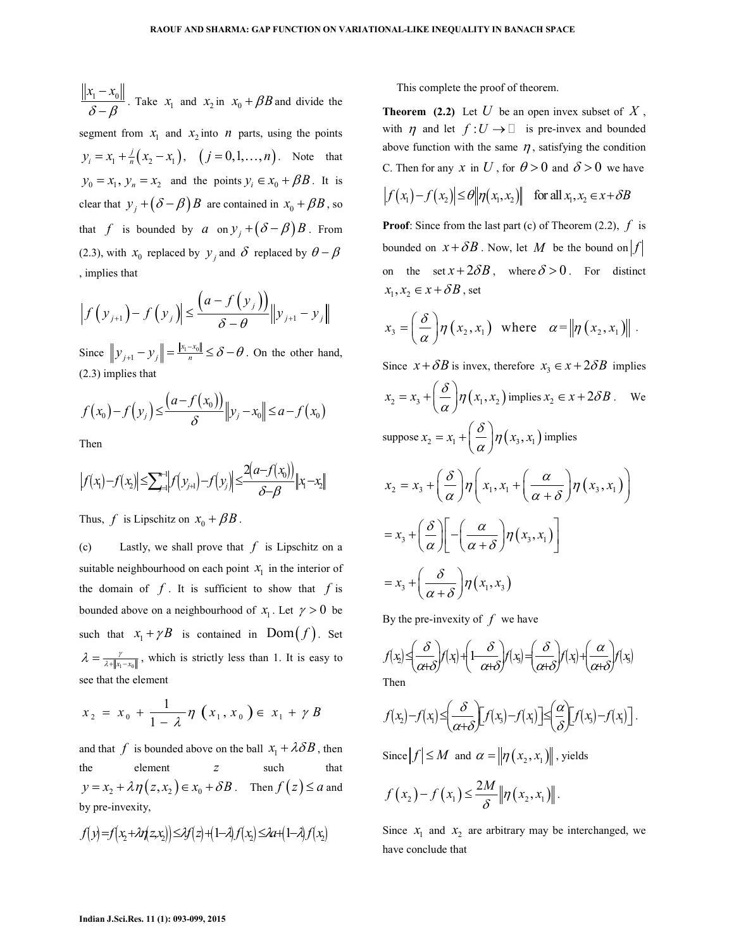$x_1 - x_0$  $δ - β$ −  $\frac{N_{0\parallel}}{-\beta}$ . Take  $x_1$  and  $x_2$  in  $x_0 + \beta B$  and divide the segment from  $x_1$  and  $x_2$  into *n* parts, using the points

 $\frac{j}{n} + \frac{j}{n} (x_2 - x_1)$  $y_i = x_1 + \frac{j}{n}(x_2 - x_1), \quad (j = 0, 1, ..., n)$ . Note that  $y_0 = x_1, y_n = x_2$  and the points  $y_i \in x_0 + \beta B$ . It is clear that  $y_j + (\delta - \beta)B$  are contained in  $x_0 + \beta B$ , so that *f* is bounded by *a* on  $y_j + (\delta - \beta)B$ . From (2.3), with  $x_0$  replaced by  $y_j$  and  $\delta$  replaced by  $\theta - \beta$ , implies that

$$
\left|f(y_{j+1})-f(y_j)\right|\leq \frac{\left(a-f(y_j)\right)}{\delta-\theta}\|y_{j+1}-y_j\|
$$

Since  $||y_{j+1} - y_j|| = \frac{||x_1 - x_0||}{n}$  $x_1 - x_0$  $y_{j+1} - y_j$  =  $\frac{|x_1 - x_0|}{n} \le \delta - \theta$ . On the other hand, (2.3) implies that

$$
f(x_0) - f(y_j) \leq \frac{(a - f(x_0))}{\delta} ||y_j - x_0|| \leq a - f(x_0)
$$

Then

$$
|f(x_1)-f(x_2)| \leq \sum_{j=1}^{n+1} |f(y_{j+1})-f(y_j)| \leq \frac{2(a-f(x_0))}{\delta-\beta} ||x_1-x_2||
$$

Thus, *f* is Lipschitz on  $x_0 + \beta B$ .

(c) Lastly, we shall prove that *f* is Lipschitz on a suitable neighbourhood on each point  $x_1$  in the interior of the domain of  $f$ . It is sufficient to show that  $f$  is bounded above on a neighbourhood of  $x_1$ . Let  $\gamma > 0$  be such that  $x_1 + \gamma B$  is contained in Dom $(f)$ . Set  $\lambda = \frac{\gamma}{\lambda + \|x_1 - x_0\|}$ , which is strictly less than 1. It is easy to see that the element

$$
x_2 = x_0 + \frac{1}{1 - \lambda} \eta \left( x_1, x_0 \right) \in x_1 + \gamma B
$$

and that  $f$  is bounded above on the ball  $x_1 + \lambda \delta B$ , then the element *z* such that  $y = x_2 + \lambda \eta(z, x_2) \in x_0 + \delta B$ . Then  $f(z) \le a$  and by pre-invexity,

$$
f(y)=f(x_2+\lambda f(z,x_2))\leq \lambda f(z)+(1-\lambda)f(x_2)\leq \lambda a+(1-\lambda)f(x_2)
$$

This complete the proof of theorem.

**Theorem (2.2)** Let  $U$  be an open invex subset of  $X$ , with  $\eta$  and let  $f: U \rightarrow$  is pre-invex and bounded above function with the same  $\eta$ , satisfying the condition C. Then for any *x* in U, for  $\theta > 0$  and  $\delta > 0$  we have

$$
|f(x_1) - f(x_2)| \le \theta \|\eta(x_1, x_2)\| \quad \text{for all } x_1, x_2 \in x + \delta B
$$

**Proof**: Since from the last part (c) of Theorem (2.2), *f* is bounded on  $x + \delta B$ . Now, let M be the bound on  $f$ on the set  $x + 2\delta B$ , where  $\delta > 0$ . For distinct  $x_1, x_2 \in x + \delta B$ , set

$$
x_3 = \left(\frac{\delta}{\alpha}\right) \eta\left(x_2, x_1\right) \text{ where } \alpha = \left\|\eta\left(x_2, x_1\right)\right\|.
$$

Since  $x + \delta B$  is invex, therefore  $x_3 \in x + 2\delta B$  implies  $x_2 = x_3 + \left(\frac{\delta}{\alpha}\right) \eta\left(x_1, x_2\right)$  is  $\frac{\overline{a}}{a}$  $= x_3 + \left(\frac{\delta}{\alpha}\right) \eta(x_1, x_2)$  implies  $x_2 \in x + 2\delta B$ . We suppose  $x_2 = x_1 + \left(\frac{\delta}{\gamma}\right) \eta\left(x_3, x_1\right)$  is  $\frac{\overline{a}}{a}$ ]  $= x_1 + \left(\frac{\delta}{\alpha}\right) \eta\left(x_3, x_1\right)$  implies  $x_2 = x_3 + \left(\frac{\delta}{\delta}\right) \eta \left(x_1, x_1 + \left(\frac{\alpha}{\delta}\right) \eta\left(x_3, x_1\right)\right)$  $\alpha$   $\int'$   $\left( \begin{array}{c} x_1, x_1 \\ x + \delta \end{array} \right)$  $= x_3 + \left(\frac{\delta}{\alpha}\right) \eta \left(x_1, x_1 + \left(\frac{\alpha}{\alpha + \delta}\right) \eta\left(x_3, x_1\right)\right)$  $x_3+\left(\frac{\delta}{\alpha}\right)\left(-\left(\frac{\alpha}{\alpha+\delta}\right)\eta\left(x_3,x_1\right)\right)$  $= x_3 + \left(\frac{\delta}{\alpha}\right) \left[ -\left(\frac{\alpha}{\alpha+\delta}\right) \eta(x_3,x_1) \right]$  $x_3 + \left( \frac{\delta}{\gamma + \delta} \right) \eta(x_1, x_3)$  $\overline{\alpha+\delta}$ <sup>n</sup>  $= x_3 + \left(\frac{\delta}{\alpha + \delta}\right)$ 

By the pre-invexity of  $f$  we have

$$
f(x) \leq \left(\frac{\delta}{\alpha+\delta}\right) f(x) + \left(1 - \frac{\delta}{\alpha+\delta}\right) f(x) = \left(\frac{\delta}{\alpha+\delta}\right) f(x) + \left(\frac{\alpha}{\alpha+\delta}\right) f(x)
$$
  
Then

$$
f(x_2)-f(x_1)\leq \left(\frac{\delta}{\alpha+\delta}\right)f(x_3)-f(x_1)\leq \left(\frac{\alpha}{\delta}\right)f(x_3)-f(x_1)\right].
$$

Since  $|f| \le M$  and  $\alpha = ||\eta(x_2, x_1)||$ , yields

$$
f(x_2)-f(x_1)\leq \frac{2M}{\delta}\|\eta(x_2,x_1)\|.
$$

Since  $x_1$  and  $x_2$  are arbitrary may be interchanged, we have conclude that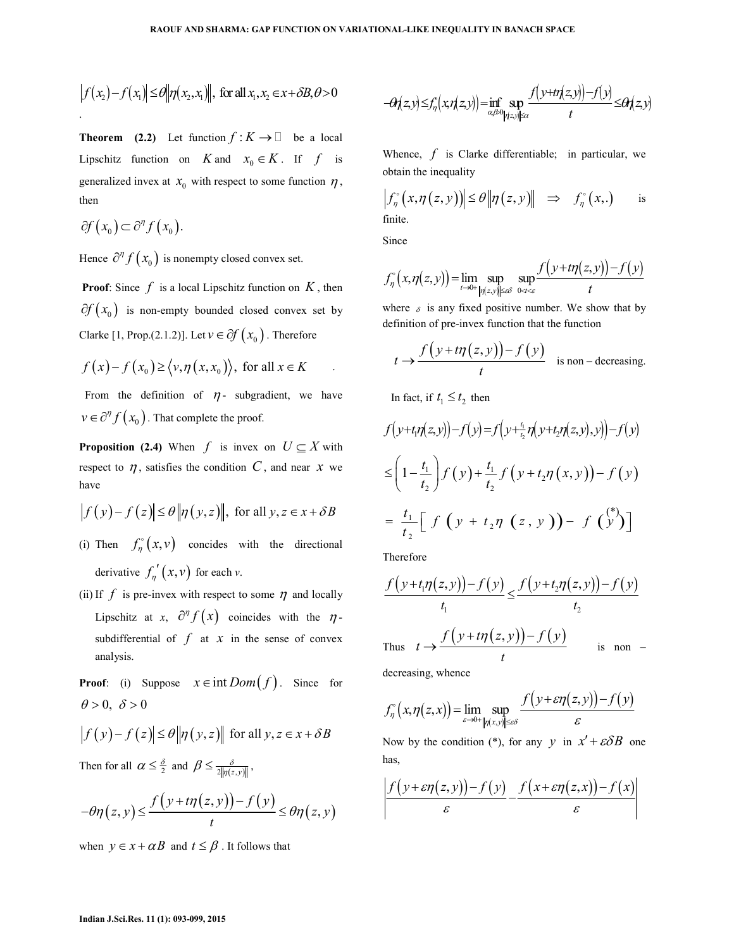$$
|f(x_2)-f(x_1)| \leq \theta \|\eta(x_2,x_1)\|, \text{ for all } x_1, x_2 \in x + \delta B, \theta > 0
$$

**Theorem** (2.2) Let function  $f: K \to$  be a local Lipschitz function on *K* and  $x_0 \in K$ . If *f* is generalized invex at  $x_0$  with respect to some function  $\eta$ , then

$$
\partial f(x_0) \subset \partial^{\eta} f(x_0).
$$

Hence  $\partial^{\eta} f(x_0)$  is nonempty closed convex set.

**Proof**: Since  $f$  is a local Lipschitz function on  $K$ , then  $\partial f(x_0)$  is non-empty bounded closed convex set by Clarke [1, Prop.(2.1.2)]. Let  $v \in \partial f(x_0)$ . Therefore

$$
f(x)-f(x_0) \ge \langle v, \eta(x, x_0) \rangle
$$
, for all  $x \in K$ 

From the definition of  $\eta$ - subgradient, we have  $v \in \partial^{\eta} f(x_0)$ . That complete the proof.

**Proposition (2.4)** When *f* is invex on  $U \subseteq X$  with respect to  $\eta$ , satisfies the condition C, and near  $x$  we have

$$
\left| f(y) - f(z) \right| \le \theta \left\| \eta(y, z) \right\|, \text{ for all } y, z \in x + \delta B
$$
\n
$$
= \frac{t_1}{\delta} \left[ f(y + t_2 \eta(z, y)) - f(y) \right]
$$

- (i) Then  $f_{\eta}^{\circ}(x,v)$  concides with the directional derivative  $f'_\n{\eta}(x, v)$  for each *v*.
- (ii) If  $f$  is pre-invex with respect to some  $\eta$  and locally Lipschitz at *x*,  $\partial^{\eta} f(x)$  coincides with the  $\eta$ subdifferential of  $f$  at  $x$  in the sense of convex analysis.

**Proof**: (i) Suppose  $x \in \text{int } Dom(f)$ . Since for  $\theta > 0, \ \delta > 0$ 

$$
|f(y)-f(z)| \le \theta \|\eta(y,z)\| \text{ for all } y, z \in x + \delta B
$$

Then for all  $\alpha \leq \frac{\delta}{2}$  and  $\beta \leq \frac{\delta}{2\|\eta(z,y)\|}$  $\beta \leq \frac{\delta}{2\|\eta(z,y)\|}$ ,

$$
-\theta\eta(z,y) \leq \frac{f\left(y+t\eta(z,y)\right)-f\left(y\right)}{t} \leq \theta\eta(z,y)
$$

when  $y \in x + \alpha B$  and  $t \leq \beta$ . It follows that

$$
-\theta f(z,y) \leq f_{\eta}(x,\eta(z,y)) = \inf_{\alpha\beta \in O_{\left|\eta(z,y)\right| \leq \alpha}} \frac{f\left(y+t\eta(z,y)\right) - f\left(y\right)}{t} \leq \theta f(z,y)
$$

Whence, *f* is Clarke differentiable; in particular, we obtain the inequality

$$
\left|f_{\eta}^{\circ}\left(x,\eta\left(z,y\right)\right)\right| \leq \theta \left\|\eta\left(z,y\right)\right\| \Rightarrow f_{\eta}^{\circ}\left(x,\right) \text{ is finite.}
$$

Since

$$
f_{\eta}^{\circ}\big(x,\eta(z,y)\big) = \lim_{t \to 0+} \sup_{\|\eta(z,y)\| \le \varepsilon \delta} \sup_{0 \le t \le \varepsilon} \frac{f\big(y+t\eta(z,y)\big)-f\big(y\big)}{t}
$$

where  $\delta$  is any fixed positive number. We show that by definition of pre-invex function that the function

$$
t \to \frac{f(y+t\eta(z,y))-f(y)}{t}
$$
 is non-decreasing.

In fact, if  $t_1 \leq t_2$  then

$$
f(y+t_1\eta(z,y))-f(y)=f(y+t_2\eta(y+t_2\eta(z,y),y))-f(y)
$$
  
\n
$$
\leq \left(1-\frac{t_1}{t_2}\right)f(y)+\frac{t_1}{t_2}f(y+t_2\eta(x,y))-f(y)
$$
  
\n
$$
=\frac{t_1}{t_2}\left[f(y+t_2\eta(z,y))-f(y)\right]
$$

Therefore

$$
\frac{f(y+t_1\eta(z,y)) - f(y)}{t_1} \le \frac{f(y+t_2\eta(z,y)) - f(y)}{t_2}
$$
  
Thus  $t \to \frac{f(y+t\eta(z,y)) - f(y)}{t}$  is non -

decreasing, whence

$$
f_{\eta}^{\circ}\big(x,\eta(z,x)\big)=\lim_{\varepsilon\to 0+}\sup_{\|\eta(x,y)\|\leq\varepsilon\delta}\frac{f\big(y+\varepsilon\eta(z,y)\big)-f\big(y\big)}{\varepsilon}
$$

Now by the condition (\*), for any *y* in  $x' + \varepsilon \delta B$  one has,

$$
\left|\frac{f(y+\varepsilon\eta(z,y))-f(y)}{\varepsilon}-\frac{f(x+\varepsilon\eta(z,x))-f(x)}{\varepsilon}\right|
$$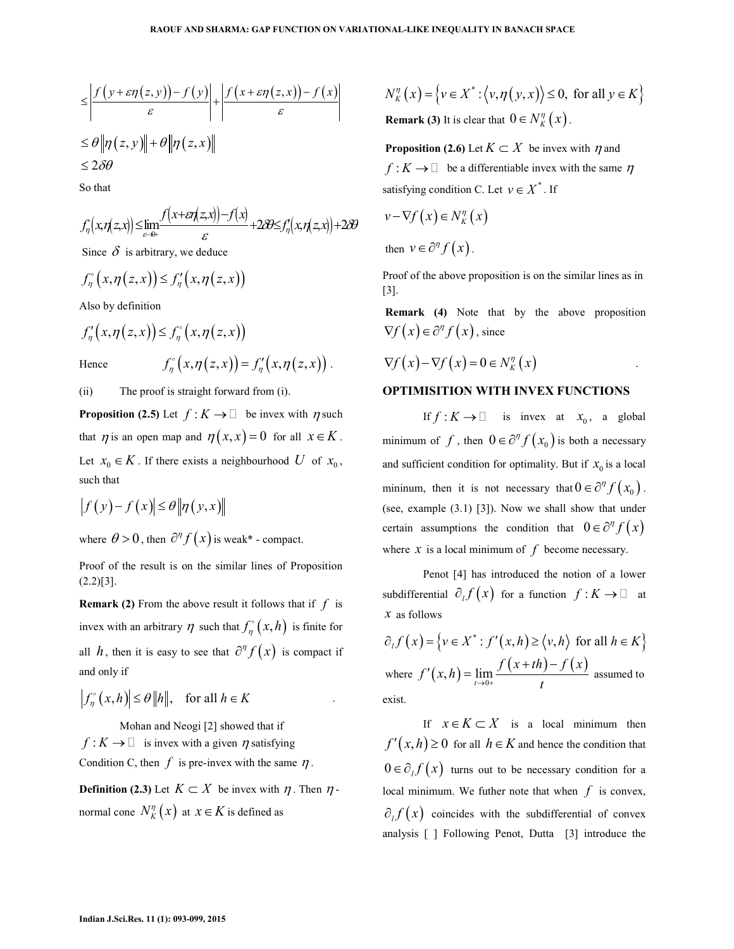.

$$
\leq \left| \frac{f(y+\varepsilon \eta(z,y)) - f(y)}{\varepsilon} \right| + \left| \frac{f(x+\varepsilon \eta(z,x)) - f(x)}{\varepsilon} \right|
$$
  

$$
\leq \theta \|\eta(z,y)\| + \theta \|\eta(z,x)\|
$$
  

$$
\leq 2\delta \theta
$$

So that

$$
f_{\eta}(x,\eta(z,x)) \leq \lim_{\varepsilon \to 0+} \frac{f(x+\varepsilon \eta(z,x)) - f(x)}{\varepsilon} + 2\partial \varepsilon f_{\eta}(x,\eta(z,x)) + 2\partial \theta
$$

Since  $\delta$  is arbitrary, we deduce

$$
f_{\eta}^{\circ}\big(x,\eta(z,x)\big)\leq f_{\eta}^{\prime}\big(x,\eta(z,x)\big)
$$

Also by definition

$$
f'_{\eta}(x,\eta(z,x)) \le f_{\eta}^{\circ}(x,\eta(z,x))
$$
  
Hence 
$$
f_{\eta}^{\circ}(x,\eta(z,x)) = f'_{\eta}(x,\eta(z,x))
$$

(ii) The proof is straight forward from (i).

**Proposition (2.5)** Let  $f: K \to \emptyset$  be invex with  $\eta$  such that  $\eta$  is an open map and  $\eta(x, x) = 0$  for all  $x \in K$ . Let  $x_0 \in K$ . If there exists a neighbourhood *U* of  $x_0$ , such that

$$
\left|f(y)-f(x)\right|\leq \theta \left\|\eta(y,x)\right\|
$$

where  $\theta > 0$ , then  $\partial^{\eta} f(x)$  is weak\* - compact.

Proof of the result is on the similar lines of Proposition  $(2.2)[3]$ .

**Remark (2)** From the above result it follows that if *f* is invex with an arbitrary  $\eta$  such that  $f_{\eta}^{\circ}(x,h)$  is finite for all *h*, then it is easy to see that  $\partial^{\eta} f(x)$  is compact if and only if

$$
\left|f_{\eta}^{\circ}(x,h)\right| \leq \theta \|h\|, \text{ for all } h \in K
$$

 Mohan and Neogi [2] showed that if  $f: K \to$  is invex with a given  $\eta$  satisfying Condition C, then  $f$  is pre-invex with the same  $\eta$ .

**Definition (2.3)** Let  $K \subset X$  be invex with  $\eta$ . Then  $\eta$ normal cone  $N_K^n(x)$  at  $x \in K$  is defined as

$$
N_K^{\eta}(x) = \{ v \in X^* : \langle v, \eta(y, x) \rangle \le 0, \text{ for all } y \in K \}
$$

**Remark (3)** It is clear that  $0 \in N_K^{\eta}(x)$ .

**Proposition (2.6)** Let  $K \subset X$  be invex with  $\eta$  and  $f: K \to$  be a differentiable invex with the same  $n$ satisfying condition C. Let  $v \in X^*$ . If

$$
v - \nabla f(x) \in N_K^{\eta}(x)
$$
  
then  $v \in \partial^{\eta} f(x)$ .

Proof of the above proposition is on the similar lines as in [3].

**Remark (4)** Note that by the above proposition  $\nabla f(x) \in \partial^{\eta} f(x)$ , since

$$
\nabla f(x) - \nabla f(x) = 0 \in N_K^{\eta}(x)
$$

## **OPTIMISITION WITH INVEX FUNCTIONS**

If  $f: K \to$  is invex at  $x_0$ , a global minimum of *f*, then  $0 \in \partial^{\eta} f(x_0)$  is both a necessary and sufficient condition for optimality. But if  $x_0$  is a local mininum, then it is not necessary that  $0 \in \partial^{\eta} f(x_0)$ . (see, example (3.1) [3]). Now we shall show that under certain assumptions the condition that  $0 \in \partial^{\eta} f(x)$ where  $x$  is a local minimum of  $f$  become necessary.

 Penot [4] has introduced the notion of a lower subdifferential  $\partial_l f(x)$  for a function  $f: K \to \mathbb{R}$  at *x* as follows

$$
\partial_t f(x) = \{ v \in X^* : f'(x, h) \ge \langle v, h \rangle \text{ for all } h \in K \}
$$
  
where  $f'(x, h) = \lim_{t \to 0+} \frac{f(x + th) - f(x)}{t}$  assumed to exist.

If  $x \in K \subset X$  is a local minimum then  $f'(x,h) \ge 0$  for all  $h \in K$  and hence the condition that  $0 \in \partial_l f(x)$  turns out to be necessary condition for a local minimum. We futher note that when  $f$  is convex,  $\partial_l f(x)$  coincides with the subdifferential of convex analysis [ ] Following Penot, Dutta [3] introduce the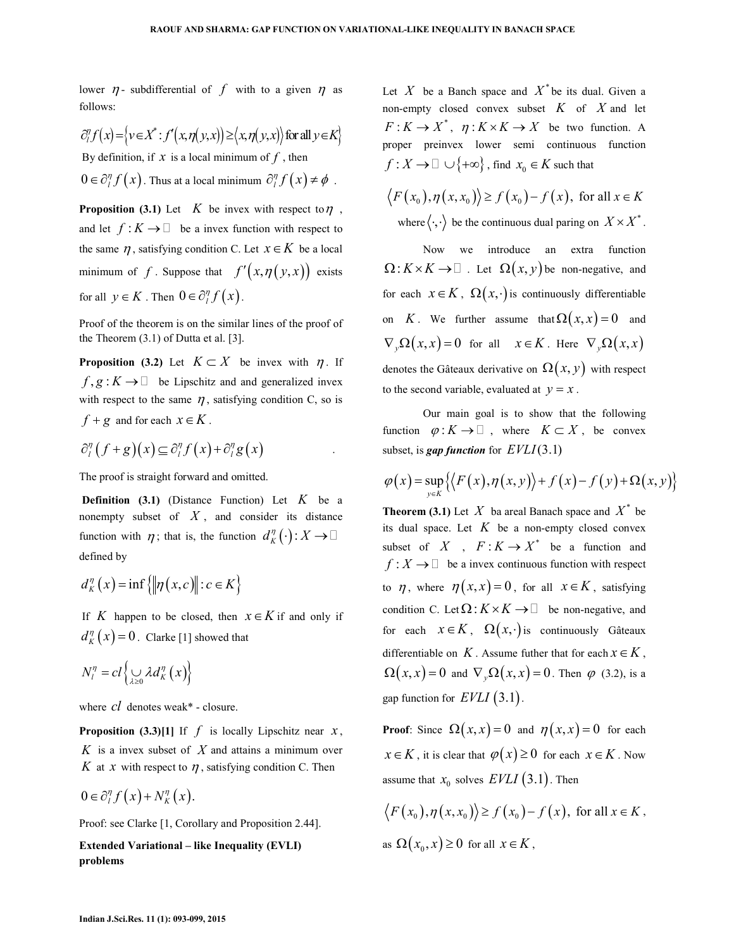lower  $\eta$ - subdifferential of f with to a given  $\eta$  as follows:

 $\partial_{i}^{\eta} f(x) = \left\{ v \in X^* : f'(x, \eta(y, x)) \ge \left\langle x, \eta(y, x) \right\rangle \text{ for all } y \in K \right\}$ By definition, if  $x$  is a local minimum of  $f$ , then  $0 \in \partial_{l}^{\eta} f(x)$ . Thus at a local minimum  $\partial_{l}^{\eta} f(x) \neq \phi$ .

**Proposition (3.1)** Let  $K$  be invex with respect to  $\eta$ , and let  $f: K \to \infty$  be a invex function with respect to the same  $\eta$ , satisfying condition C. Let  $x \in K$  be a local minimum of *f*. Suppose that  $f'(x, \eta(y, x))$  exists for all  $y \in K$ . Then  $0 \in \partial_l^{\eta} f(x)$ .

Proof of the theorem is on the similar lines of the proof of the Theorem (3.1) of Dutta et al. [3].

**Proposition (3.2)** Let  $K \subset X$  be invex with  $\eta$ . If  $f, g: K \rightarrow$  be Lipschitz and and generalized invex with respect to the same  $\eta$ , satisfying condition C, so is  $f + g$  and for each  $x \in K$ .

$$
\partial_{l}^{\eta}\left(f+g\right)\left(x\right)\subseteq\partial_{l}^{\eta}f\left(x\right)+\partial_{l}^{\eta}g\left(x\right)
$$

The proof is straight forward and omitted.

**Definition (3.1)** (Distance Function) Let *K* be a nonempty subset of *X* , and consider its distance function with  $\eta$ ; that is, the function  $d_K^{\eta}(\cdot) : X \to Y$ defined by

$$
d_K^{\eta}(x) = \inf \{ \|\eta(x, c)\| : c \in K \}
$$

If *K* happen to be closed, then  $x \in K$  if and only if  $d_K^{\eta}(x) = 0$ . Clarke [1] showed that

$$
N_l^n = cl \left\{ \bigcup_{\lambda \geq 0} \lambda d_K^n(x) \right\}
$$

where *cl* denotes weak\* - closure.

**Proposition (3.3)[1]** If  $f$  is locally Lipschitz near  $x$ , *K* is a invex subset of *X* and attains a minimum over *K* at *x* with respect to  $\eta$ , satisfying condition C. Then

$$
0 \in \partial_{l}^{\eta} f(x) + N_K^{\eta}(x).
$$

Proof: see Clarke [1, Corollary and Proposition 2.44].

**Extended Variational – like Inequality (EVLI) problems** 

Let X be a Banch space and  $X^*$  be its dual. Given a non-empty closed convex subset *K* of *X* and let  $F: K \to X^*$ ,  $\eta: K \times K \to X$  be two function. A proper preinvex lower semi continuous function  $f: X \to \cup \{+\infty\}$ , find  $x_0 \in K$  such that

$$
\langle F(x_0), \eta(x, x_0) \rangle \ge f(x_0) - f(x), \text{ for all } x \in K
$$
  
where  $\langle \cdot, \cdot \rangle$  be the continuous dual paring on  $X \times X^*$ .

 Now we introduce an extra function  $\Omega: K \times K \to$  . Let  $\Omega(x, y)$  be non-negative, and for each  $x \in K$ ,  $\Omega(x, \cdot)$  is continuously differentiable on *K*. We further assume that  $\Omega(x, x) = 0$  and  $\nabla_{v} \Omega(x, x) = 0$  for all  $x \in K$ . Here  $\nabla_{v} \Omega(x, x)$ denotes the Gâteaux derivative on  $\Omega(x, y)$  with respect to the second variable, evaluated at  $y = x$ .

 Our main goal is to show that the following function  $\varphi: K \to \mathbb{R}$ , where  $K \subset X$ , be convex subset, is *gap function* for *EVLI*(3.1)

$$
\varphi(x) = \sup_{y \in K} \left\{ \left\langle F(x), \eta(x, y) \right\rangle + f(x) - f(y) + \Omega(x, y) \right\}
$$

**Theorem (3.1)** Let X ba areal Banach space and  $X^*$  be its dual space. Let  $K$  be a non-empty closed convex subset of X,  $F: K \to X^*$  be a function and  $f: X \longrightarrow$  be a invex continuous function with respect to  $\eta$ , where  $\eta(x, x) = 0$ , for all  $x \in K$ , satisfying condition C. Let  $\Omega: K \times K \to$  be non-negative, and for each  $x \in K$ ,  $\Omega(x, \cdot)$  is continuously Gâteaux differentiable on  $K$ . Assume futher that for each  $x \in K$ ,  $\Omega(x, x) = 0$  and  $\nabla_y \Omega(x, x) = 0$ . Then  $\varphi$  (3.2), is a gap function for  $EVLI(3.1)$ .

**Proof**: Since  $\Omega(x, x) = 0$  and  $\eta(x, x) = 0$  for each  $x \in K$ , it is clear that  $\varphi(x) \geq 0$  for each  $x \in K$ . Now assume that  $x_0$  solves  $EVLI(3.1)$ . Then

$$
\langle F(x_0), \eta(x, x_0) \rangle \ge f(x_0) - f(x), \text{ for all } x \in K,
$$
  
as  $\Omega(x_0, x) \ge 0$  for all  $x \in K$ ,